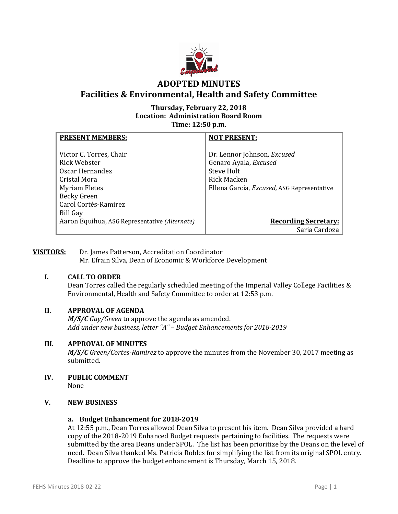

# **ADOPTED MINUTES Facilities & Environmental, Health and Safety Committee**

# **Thursday, February 22, 2018 Location: Administration Board Room Time: 12:50 p.m.**

| <b>PRESENT MEMBERS:</b>                       | <b>NOT PRESENT:</b>                        |
|-----------------------------------------------|--------------------------------------------|
|                                               |                                            |
| Victor C. Torres, Chair                       | Dr. Lennor Johnson, Excused                |
| Rick Webster                                  | Genaro Ayala, Excused                      |
| Oscar Hernandez                               | Steve Holt                                 |
| Cristal Mora                                  | Rick Macken                                |
| <b>Myriam Fletes</b>                          | Ellena Garcia, Excused, ASG Representative |
| Becky Green                                   |                                            |
| Carol Cortés-Ramirez                          |                                            |
| <b>Bill Gay</b>                               |                                            |
| Aaron Equihua, ASG Representative (Alternate) | <b>Recording Secretary:</b>                |
|                                               | Saria Cardoza                              |

### **VISITORS:** Dr. James Patterson, Accreditation Coordinator Mr. Efrain Silva, Dean of Economic & Workforce Development

# **I. CALL TO ORDER**

Dean Torres called the regularly scheduled meeting of the Imperial Valley College Facilities & Environmental, Health and Safety Committee to order at 12:53 p.m.

# **II. APPROVAL OF AGENDA**

*M/S/C Gay/Green* to approve the agenda as amended. *Add under new business, letter "A" – Budget Enhancements for 2018-2019*

# **III. APPROVAL OF MINUTES**

*M/S/C Green/Cortes-Ramirez* to approve the minutes from the November 30, 2017 meeting as submitted.

**IV. PUBLIC COMMENT** None

# **V. NEW BUSINESS**

# **a. Budget Enhancement for 2018-2019**

At 12:55 p.m., Dean Torres allowed Dean Silva to present his item. Dean Silva provided a hard copy of the 2018-2019 Enhanced Budget requests pertaining to facilities. The requests were submitted by the area Deans under SPOL. The list has been prioritize by the Deans on the level of need. Dean Silva thanked Ms. Patricia Robles for simplifying the list from its original SPOL entry. Deadline to approve the budget enhancement is Thursday, March 15, 2018.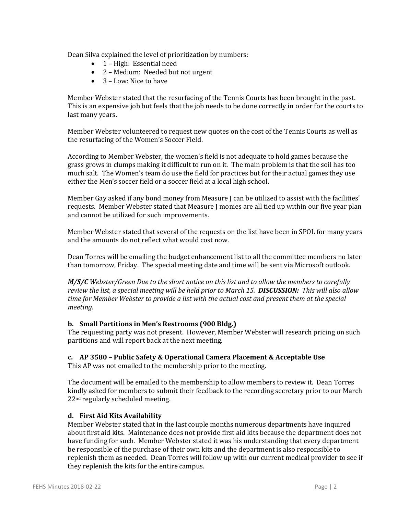Dean Silva explained the level of prioritization by numbers:

- 1 High: Essential need
- 2 Medium: Needed but not urgent
- 3 Low: Nice to have

Member Webster stated that the resurfacing of the Tennis Courts has been brought in the past. This is an expensive job but feels that the job needs to be done correctly in order for the courts to last many years.

Member Webster volunteered to request new quotes on the cost of the Tennis Courts as well as the resurfacing of the Women's Soccer Field.

According to Member Webster, the women's field is not adequate to hold games because the grass grows in clumps making it difficult to run on it. The main problem is that the soil has too much salt. The Women's team do use the field for practices but for their actual games they use either the Men's soccer field or a soccer field at a local high school.

Member Gay asked if any bond money from Measure J can be utilized to assist with the facilities' requests. Member Webster stated that Measure J monies are all tied up within our five year plan and cannot be utilized for such improvements.

Member Webster stated that several of the requests on the list have been in SPOL for many years and the amounts do not reflect what would cost now.

Dean Torres will be emailing the budget enhancement list to all the committee members no later than tomorrow, Friday. The special meeting date and time will be sent via Microsoft outlook.

*M/S/C Webster/Green Due to the short notice on this list and to allow the members to carefully review the list, a special meeting will be held prior to March 15. DISCUSSION: This will also allow time for Member Webster to provide a list with the actual cost and present them at the special meeting.*

# **b. Small Partitions in Men's Restrooms (900 Bldg.)**

The requesting party was not present. However, Member Webster will research pricing on such partitions and will report back at the next meeting.

# **c. AP 3580 – Public Safety & Operational Camera Placement & Acceptable Use**

This AP was not emailed to the membership prior to the meeting.

The document will be emailed to the membership to allow members to review it. Dean Torres kindly asked for members to submit their feedback to the recording secretary prior to our March 22nd regularly scheduled meeting.

# **d. First Aid Kits Availability**

Member Webster stated that in the last couple months numerous departments have inquired about first aid kits. Maintenance does not provide first aid kits because the department does not have funding for such. Member Webster stated it was his understanding that every department be responsible of the purchase of their own kits and the department is also responsible to replenish them as needed. Dean Torres will follow up with our current medical provider to see if they replenish the kits for the entire campus.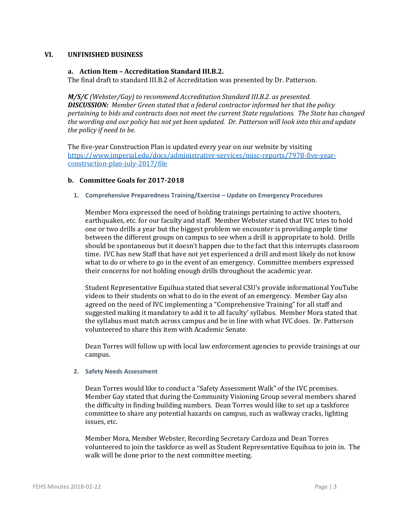#### **VI. UNFINISHED BUSINESS**

### **a. Action Item – Accreditation Standard III.B.2.**

The final draft to standard III.B.2 of Accreditation was presented by Dr. Patterson.

*M/S/C (Webster/Gay) to recommend Accreditation Standard III.B.2. as presented. DISCUSSION: Member Green stated that a federal contractor informed her that the policy pertaining to bids and contracts does not meet the current State regulations. The State has changed the wording and our policy has not yet been updated. Dr. Patterson will look into this and update the policy if need to be.*

The five-year Construction Plan is updated every year on our website by visiting [https://www.imperial.edu/docs/administrative-services/misc-reports/7978-five-year](https://www.imperial.edu/docs/administrative-services/misc-reports/7978-five-year-construction-plan-july-2017/file)[construction-plan-july-2017/file](https://www.imperial.edu/docs/administrative-services/misc-reports/7978-five-year-construction-plan-july-2017/file)

### **b. Committee Goals for 2017-2018**

**1. Comprehensive Preparedness Training/Exercise – Update on Emergency Procedures**

Member Mora expressed the need of holding trainings pertaining to active shooters, earthquakes, etc. for our faculty and staff. Member Webster stated that IVC tries to hold one or two drills a year but the biggest problem we encounter is providing ample time between the different groups on campus to see when a drill is appropriate to hold. Drills should be spontaneous but it doesn't happen due to the fact that this interrupts classroom time. IVC has new Staff that have not yet experienced a drill and most likely do not know what to do or where to go in the event of an emergency. Committee members expressed their concerns for not holding enough drills throughout the academic year.

Student Representative Equihua stated that several CSU's provide informational YouTube videos to their students on what to do in the event of an emergency. Member Gay also agreed on the need of IVC implementing a "Comprehensive Training" for all staff and suggested making it mandatory to add it to all faculty' syllabus. Member Mora stated that the syllabus must match across campus and be in line with what IVC does. Dr. Patterson volunteered to share this item with Academic Senate.

Dean Torres will follow up with local law enforcement agencies to provide trainings at our campus.

#### **2. Safety Needs Assessment**

Dean Torres would like to conduct a "Safety Assessment Walk" of the IVC premises. Member Gay stated that during the Community Visioning Group several members shared the difficulty in finding building numbers. Dean Torres would like to set up a taskforce committee to share any potential hazards on campus, such as walkway cracks, lighting issues, etc.

Member Mora, Member Webster, Recording Secretary Cardoza and Dean Torres volunteered to join the taskforce as well as Student Representative Equihua to join in. The walk will be done prior to the next committee meeting.